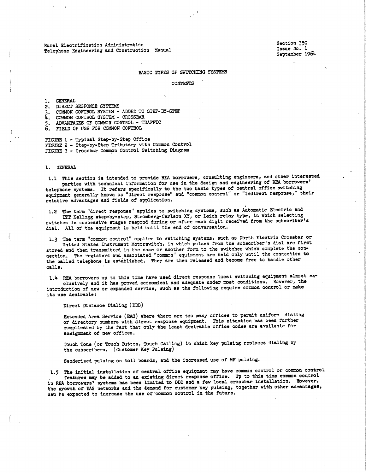Rural Electrification Administration **Telephone** Engineering and Construction Manual Section 350 Issue No. 1 **September** 1964

# BASIC TYPES OF SWITCHING SYSTEMS

CONTENTS

l, GENERAL

- 2. DIRECT RESPONSE SYSTEMS
- 3. COMMON CONTROL SYSTEM ADDED TO STEP-BY-STEP
- 4, COMMON CONTROL SYSTEM CROSSBAR
- 5. ADVANTAGES OF COMMON CONTROL TRAFFIC
- 6. FIELD OF USE FOR COMMON CONTROL

FIGURE l - Typical Step-by-Step Office FIGURE 2 - Step-by-Step Tributary with Common Control FIGURE 3 - Crossbar Common Control Switching Diagram

# l. GENERAL

l.l **This** section is intended to provide REA borrowers, consulting engineers, and other interested parties with technical information tor use 'in the design and engineering of REA borrowers' telephone systems. It refers specifically to the two basic types of central office switching equipment generally known as "direct response" and "common control" or "indirect response," their relative advantages and fields of application.

l.2 The term "direct response" applies to switching systems, such **as** Automatic Electric and ITr Kellogg step-by-step, Stromberg-Carlson XY, or Leich relay type, in which selecting switches in successive stages respond during or after each digit received from the subscriber's dial. Allot the equipment is held until the end of conversation,

l,3 The term "common control" applies to switching systems, such **as** North Electric Crossbar or United States Instrument Motorswitch, in which pulses from the subscriber's dial are first stored and then transmitted in the same or another form to the switches which complete the connection. The registers and associated "common" equipment are held only until the connection to the called telephone is established. They are then released and become free to handle other calls,

1.4 REA borrowers up to this time have used direct response local switching equipment almost exelusively and it **has** proved economical and adequate under **most** conditions, However, the introduction of **new** or expanded service, such as the following require common control or **make**  its use desirable:

Direct Distance Dialing ( DDD)

Extended Area Service (EAS) where there are too many offices to permit uniform dialing of directory numbers with direct response equi'pment, This situation **baa** been further complicated by the fact that only the least desirable office codes are available for **asaignmen·i;** *ot* new offices,

Touch Tone (or Touch Button, Touch Calling) in which key pulsing replaces dialing by the subscribers. (customer Key Pulsing)

Senderized pulsing on toll boards, and the increased use of MF pulsing.

1.5 The initial installation of central office equipment may have common control or common control . features may be added to an existing direct response office. Up to this time common control in REA borrowers' systems has been limited to DDD and a few local crossbar installation. However, the growth of FAS networks and the demand for customer key pulsing, together with other advantages, can be expected to increase the use of common control in the future.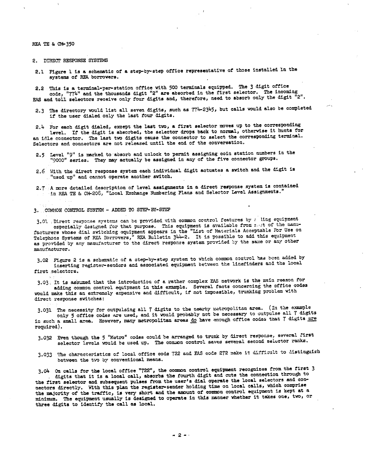REA TE &i CM-350

2. DIRECT RESPONSE SYSTEMS

2,1 Figure l is **a** schematic of **a** step-by-step ottice representative of those installed ln the systems of REA borrowers.

2.2 This is a termiaal-per-station office with 500 terminals equipped. The *3* digit ottice code, "774" and the thousands digit "2" **s.re** absorbed in the first selector. The incoming EAS and toll selectors receive only four digits and, therefore, need to absorb only the digit "2".

2.3 The directory would list all seven digits, such as  $774-2345$ , but calls would also be completed if the user dialed only the last four digits.

2.4 For each digit dialed, except the last two, a first selector moves up to the corresponding level. If the digit is absorbed, the selector drops back to normal, otherwise it hunts for an idle connector. The last two digits cause the connector to select the corresponding terminal. Selectora and connectors **are** not released until the end of the conversation.

- 2.5 Level "9" is marked to absorb and unlock to permit assigning coin station numbers in the "9000" series. They may actually be assigned in any of the five connector groups,
- 2,6 With the direct response system each individual digit actuates a switch and the digit is "uacd up" and cannot operate another switch,

2. 7 A l!ICre detailed description of level **assigaments** in a direct **re-iiollse .system is** contained :!.n REA TE & CM-208, "Local Exchange Numbering Plans and Selector Level **Assignments.** <sup>11</sup>

3, COMMOI{ CONTROL SYSTEM ~ .ADDED TO STEP-BY-STEP

3.01 Direct response systems can be provided with common control features by : ling equipment especially designed for that purpose. This equipment is available from noit of the manufacturers whose dial switching equipment appears in the "List of Materials Acceptable For Use on Telephone Systems of REA Porrovers," REA Bulletin 344-2. It is possible to add this equipment as provided by any manufacturer to the direct response system provided by the same or any other manufacturer.

3.02 Figure 2 is a schematic of a step-by-step system to which common control has been added by inserting register-senders and associated equipment between the linefinders and the local first selectors.

3.03. It is assumed that the introduction of a rather complex EAS network is the main reason for adding common control equipment in this example. Several facts concerning the office codes would make this an extremely expensive and difficult, if not impossible, trunking problem with direct response switehes:

3.031 The necessity for outpulsing sll 7 digits to the nearby metropolitan area. (In the example only 5 office codes are used, and it would probably not be necessary to outpulse all 7 digit in such a small area. However, many metropolitan areas do have enough office codes that 7 digits required).

3.032 Even though the 5 "Metro" codes could be arranged to trunk by direct response, several first selector levels would be used up. The common control saves several second selector ranke.

3.033 The characteristics of local office code 722 and FAS code 272 make it difficult to distinguish between the two by conventional means.

3. O4 On calls for the local office "722", the common control equipment recognizes from the first 3 digits tbat it is a local call, absorbs the fourth digit and cuts the connection through to the first selector and subsequent pulses from the user's dial operate the local selectors and connectors directly. With this plan the register-sender holding time on local calls, which comprise<br>the majority of the traffic, is very short and the amount of common control equipment is kept at a minimum. The equipment usually is designed to operate in this manner whether it takes one, two, or three digits to identify the call as local.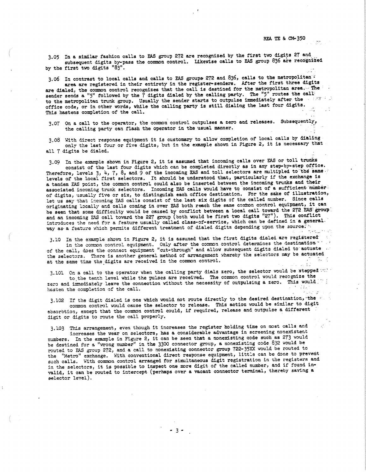3,05 In a similar fashion calls to FAS group 272 are recognized by the first tw digits 27 and subsequent digits by-pass the common control. Likewise calls to EAS group 836 are recognized by the first two digits "83".

3.06 In contrast to local calls and calls to EAS groups 272 and 836, calls to the metropolitan<sup>2</sup>

area are registered in their entirety in the register-senders, Mter the first three digits **are** dialed, the common control recognizes that the call is destined for the metropolitan **area,••** The sender sends a "5" followed by the  $\tilde{7}$  digits dialed by the calling party. The "5" routes the call: to the metropolitan trunk group. Usually the sender starts to outpulse immediately after the office code, or in other words, while the calling party is still dialing the last four digits, This hastens completion of the call.

3.07 On a call to the operator, the common control outpulses a zero and releases. Subsequently, the calling party can flash the operator in the usual manner,

3,08 With direct response equipment it is customary to allow completion of local calls by dialing· only the last four or five digits, but in the example shown in Figure 2, it is necessary that all 7 digits be dialed,

3.09 In the example shown in Figure 2, it is assumed that incoming calls over FAS or toll trunks consist of the last four digits which can be completed directly as in any step-by-step office. Therefore, levels 3, 4, 7, 8, and 9 of the incoming EAS and toll selectors are multipled to the same.<br>levels of the local first selectors. It should be understood that, particularly if the exchange is a tandem EAS point, the common control could also be inserted between the incoming trunks and their associated incoming trunk selectors. Incoming EAS calls would have to consist of a sufficient number, of digits, usually five or six, to distinguish each office destination. For the sake of illustration, let us say that incoming EAS calls consist of the last six digits of the called number. Since calls originating locally and calls coming in over FAS both reach the same common control equipment, it can be seen that some difficulty would be caused by conflict between a local call toward the 272 EAS group. and an incoming EAS call toward the 227 group ( both would be first two digits "27"), This conflict introduces the need for a feature usually called class-of-service, which can be defined in a general. wey as a feature which permits different treatment of dialed digits depending upon the source;

3.10 In the example shown in Figure 2, it is assumed that the first digits dialed are registered in the .::ontt:10n control equi-pment. Only after the co:mnon control determines the destination,~ · of the call, does the connec-c equipment "cut-through" and allow subsequent digits dialed to· a.°"tuate the selectors. There is another general method of arrangement whereby the selectors may be actuated at the same time the digits are received in the common control.

3.101 On a call to the operator when the calling party dials zero, the selector would be stepped  $\sim$ : to the tenth level while the pulses are received. The common control would recognize the zero and immediately leave the connection without the necessity of outpulsing a zero. This would: hasten the completion of the call. محافيرية والمحادث

3.102 If the digit dialed is one which would not route directly to the desired destination, the  $\cdot$ . common control would cause the selector to release. This action would be similar to digit absorbtion, except that the common control could, if required, release and outpulse a different iigit or digits to route the call properly,

3.103 This arrangement, even though it increases the register holding time on most calls and increases the wear on selectors, has a considerable advantage in screening nonexistent numbers. In the example in Figure 2, it can be seen that a nonexisting code such as 273 would be destined for a "wrong number" in the 3300 connector group, a nonexisting code 832 would be routed to *EAS* group 272, and a call to nonexisting connector group 722-35XX would be routed to the "Metro" exchange. With conventional direct response equipment, little can be done to prevent. such calls. With common control arranged for simultaneous digit registration in the registers and in the selectors, it is possible to inspect one more digit of the called number, and if found invalid, it can be routed to interoept (perhaps over **a** vacant connector terminal, thereby saving **<sup>a</sup>** selector level).

- 3 -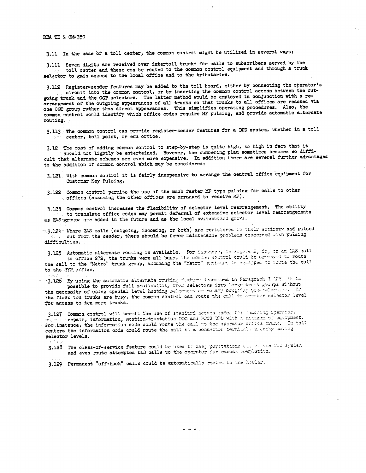## REA TE & CM-350

3,ll In the case of a toll center, the common control might be utilized in several ways:

3.111 Seven digits are received over intertoll trunks for calls to subscribers served by the tolJ. center and these can be routed to the common control equipment and through **a** trunk selector to gain access to the local office and to the tributaries.

3,112 Register-sender features may be added to the toll board, either by connecting the operator's circuit into the common control, or by inserting the common control access between the outgoing trunk and the OGT selectors, The latter method would be employed in conjunction with a rearrangement of the outgoing appearances of all trunks so that trunks to all offices are reached via one OGT group rather than direct appearances. This simplifies operating procedures. Also, the common control could identify which office codes require MF pulsing, and provide automatic alternate routing,

 $\mathbb{R}^{d}$ 

3.113. The common control can provide register-sender features for a DDD system, whether in a toll center, toJ.l point, or end office,

3.12 The cost of adding common control to step-by-step is quite high, so high in fact that it should not lightly be entertained. However, the numbering plan sometimes becomes so difficult that alternate schemes are even more expensive. In addition there are several further advantages to the addition of common control which may be considered:

3.121 With common control it is fairly inexpensive to arrange the central office equipment for Customer Key Pulsing,

3.122 Common control permits the use of the much faster MF type pulsing for calls to other s offices (assuming the other offices are arranged to receive MF).

3,123 Common control increases the flexibility of selector level rearrangement, The ability to translate office codes may permit deferral of extensive selector level rearrangements as EAS groups are added in the future and as the local switchboard grovs,

 $\sim$ 3.124 Where EAS calls ( outgoing, incoming, or both) are registered in their entiresy and pulsed out from the sender, there should be fewer maintenence problems concerned with pulsing  $\lambda_{\rm c}$ difficulties.

3.125 Automatic alternate routing is available. For instance, in Higure 2, if, on an EAS call to office 272, the trunks were all busy, the cor~ma control could be arranged to route the call to the "Metro" trunk group, assuming the "Metro" exchange is equipped to route the call to the 272 office.

···3.1.26 By using the automat!.c 11.i.~ern1:1.te r::uti:,;; :',,.a."~-.::-~ .l•.:!llc:: ... b~0. *i.a* i'o .. ::·.~.z::::,;;h 3. :;::3, ::.:: ::.a possible to provide full availability from aelectors isto large trank groups without the necessity of using special level hunting selectors or *rotary* outgring pre-relations. If the first ten trunks are busy, the common control can route the call to another selector level for access to ten more trunks.

3.127 Common control will permit the use of standard secess codes for remaking operator, *·~~i,-\_* ··•···,. re-pair, information, ats:ti1Jn-t.o•;-jtatio•!.l :)D!:l a.::-i ::~:cs u-:· <sup>1</sup>r.; ·1.:.:.~~h :-. ~-~.:::.r:.:u '..):· oq· ... :.pr~~1t.  $\sqrt[3]{\text{for}}$  instance, the information cede could route the call no the operator orfice truck. In toll centers the information code could route the call to a connector terminal, clergby saving **ielector levels,** 

~ . : *~:* 

3.128 The class-of-service feature could be used to keep paystations can or the COD system and even route attempted DDD calls to the operator for manual completion.

3.129 Permanent "off-hook" calls could be entomatically routed to the howler.

- 4 -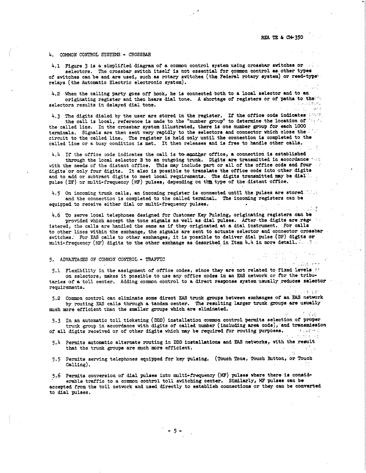,,.\_,, ,:, *l* ,,.-, ,<sup>&</sup>gt;

-2 Jul 12

#### 4. COMMON CONTROL SYSTEMS - CROSSBAR

4.1 Figure 3 is a simplified diagram of a common control system using crossbar switches or  $\ldots$ selectors, The crossbar switch itself is not essential tor common control **as** other types of switches can be and are used, such as rotary switches (the Federal rotary system) or reed•typet relays (the Automatic Electric electronic system),

4,2 When the calling party goes *oft* hook, he is connected both to a local selector and to **an**  originating register and then hears dial tone. A shortage of registers or of paths to the'... selectors results in delayed dial tone.

4.3 The digits dialed by the user are stored in the register. If the office code indicates:

the call is local, reference is made to the "number group" to determine the location of the of the called line. In the crossbar system illustrated, there is one number group for each 1000 terminals. Signals are then sent very rapidly to the selectors and connector which close the circuit to the called line. The register is held only until the connection is completed to the called line or a busy condition is met, It then releases and is free to handle other calls.

4.4 If the office code indicates the call is to apather office, a connection is established

through the local selector B to an outgoing trunk. Digits are transmitted in accordance the with the needs of the distant office. This may include part or all of the office code and four digits or only four digits. It also is possible to translate the office code into other digits and to add or subtract digits to meet local requirements. The digits transmitted may be dial: pulse (DF) or multi-frequency (MF) pulses, depending on the type of the distant office.

4.5 On incoming trunk calls, an incoming register is connected until the pulses are stored Mass and the connection is completed to the called terminal. The incoming registers can be equipped to receive either dial or multi-frequency pulses.

4.6 To serve local telephones designed. for Customer Key Pulsing, originating registers can be provided which accept the tone signals as well as dial pulses. After the digits are registered, the calls are handled the same as if they originated at **a** dial instrument. For calls to other lines within the exchange, the signals are sent to actuate-selector and connector crossbar switches: For EAS calls to other exchanges, it is possible to deliver dial pulse (DP) digits or multi-frequency (MF) digits to the other exchange as described in Item  $4.4$  in more detail.

# 5. ADVANTAGES OF COMMON CONTROL - TRAFFIC

5.1 Flexibility in the assignment of office codes, since they are not related to fixed levels at on selectors, makes it possible to use any office codes in an EAS network or tor the tributaries of a toll center. Adding common control to a direct **response** system usually **.reduces** selector requirements.

5.2 Common control can eliminate some direct EAS trunk groups between exchanges of an EAS network by routing EAS calls through a tandem center, The resulting larger trunk groups. **are** usually much more efficient than the smaller groups which are eliminated.

5,3 In an automatic toll ticketing (DDD) installation common control permits selection or proper trunk group in accordance with digits of called nwnber (including **area** code), and tranandsaton of all digits received or of other digits which may be required for routing purposes.  $\ldots$ 

- $5.4$  Permits automatic alternate routing in DDD installations and EAS networks, with the result-<br>that the trunk-crouns are much more efficient. that the trunk groups are much more efficient.
- 5.5 Permits serving telephones equipped for key pulsing. (Touch Tone, Touch Button, or Touch Calling),

5.6 Permits conversion of dial pulses into multi-frequency (MF) pulses where there is considerable traffic to a common control toll switching center. Similarly, MF pulses can be accepted from the toll network and used directly to establish connectiona·or they can be converted to dial pulses,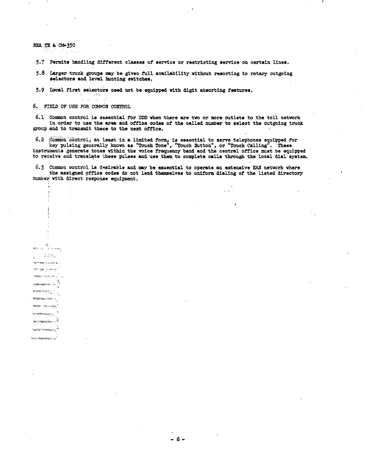REA TE & CM-350

 $\{|\lambda \rangle \}_{\alpha}$ **Hopfe-Made show ships an** tern take it sterles **Same Solder of the** 

vipanesnes, in **EWAMPLES** Ting - ago - and **Reader in Reader** women was amaannan i **Norda-National** *<i>Northernessmen* 

à.

5.7 Permits handling different classes of service or restricting service on certain lines.

5.8 Larger trunk groups may be given full availability without resorting to rotary outgoing selectors and level hunting switches.

5.9 Local first selectors need not be equipped with digit absorbing features.

6. FIELD OF USE FOR COMMON CONTROL

100 年度 للطائب والمعاد

6.1 Common control is essential for DDD when there are two or more outlets to the toll network in order to use the area and office codes of the called number to select the outgoing trunk group and to transmit these to the next office.

6.2 Common control, at least in a limited form, is essential to serve telephones equipped for key pulsing generally known as "Touch Tone", "Touch Button", or "Touch Calling". These instruments generate tones within the voice frequency band and the central office must be equipped to receive and translate these pulses and use them to complete calls through the local dial system.

6.3 Common control is desirable and may be essential to operate an extensive EAS network where the assigned office codes do not lend themselves to uniform dialing of the listed directory fumber with direct response equipment.

 $-6-$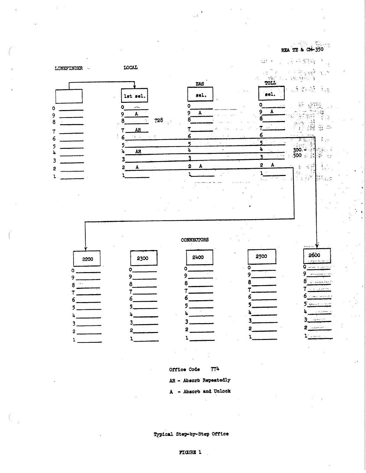

 $774$ Office Code

AR - Absorb Repeatedly

- Absorb and Unlock  $\mathbf{A}$ 

# Typical Step-by-Step Office

# FIGURE 1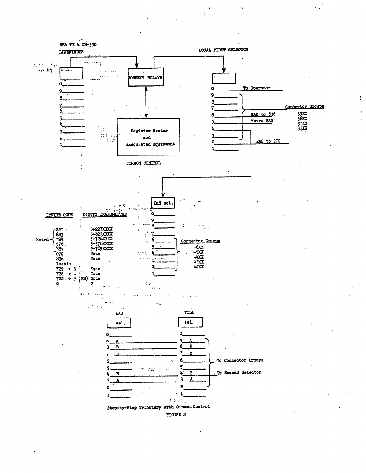

f,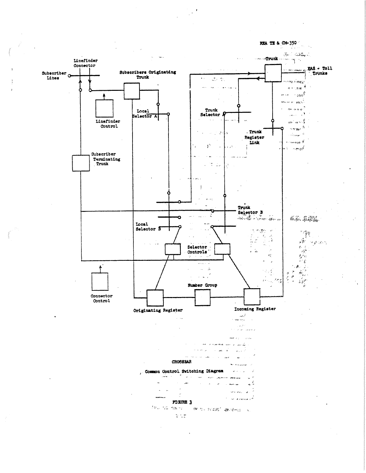REA TE & CH-350